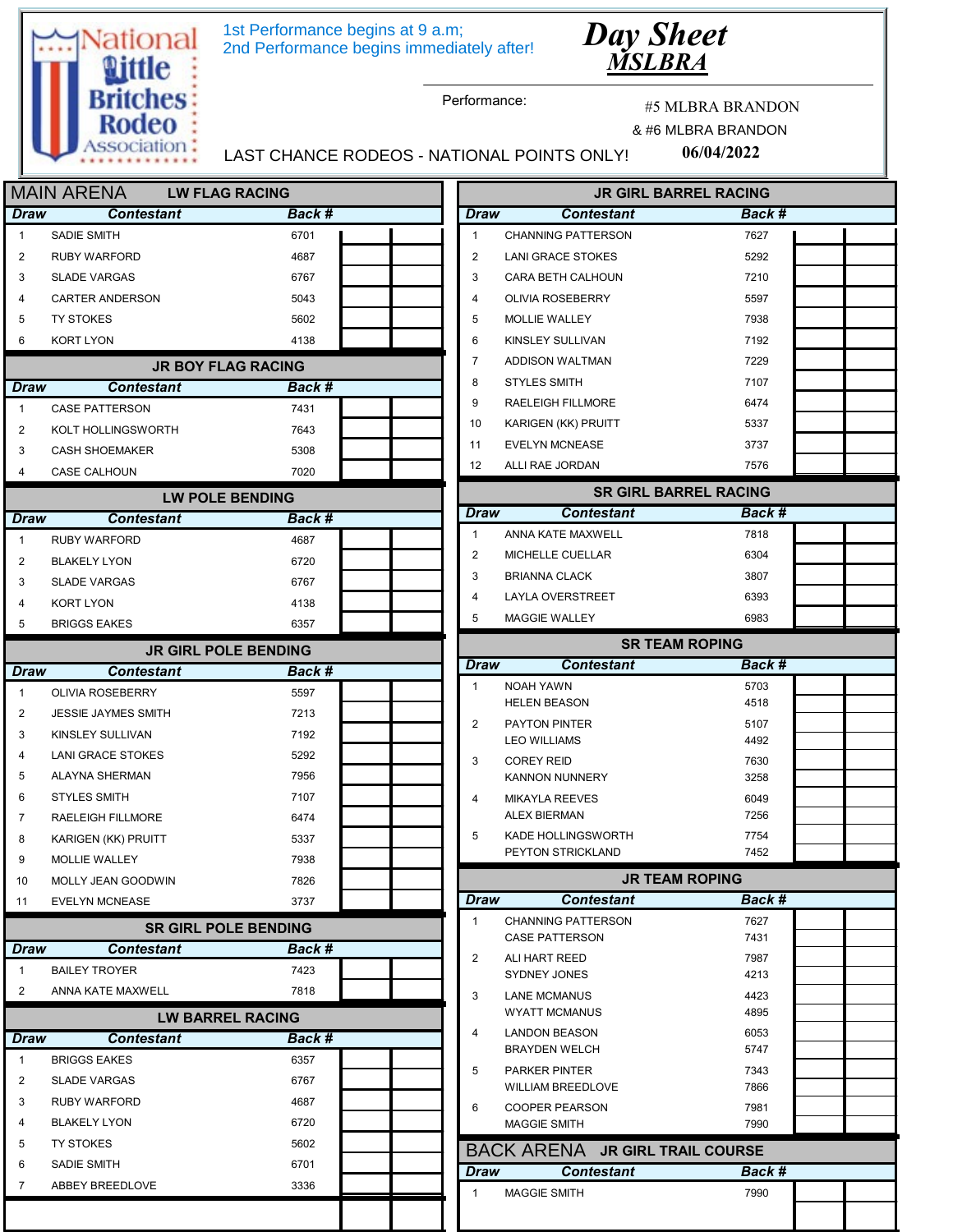





Performance:

#5 MLBRA BRANDON

 $\begin{array}{c} \begin{array}{c} \begin{array}{c} \end{array} & \begin{array}{c} \end{array} & \begin{array}{c} \end{array} & \begin{array}{c} \end{array} & \begin{array}{c} \end{array} & \begin{array}{c} \end{array} & \begin{array}{c} \end{array} & \begin{array}{c} \end{array} & \begin{array}{c} \end{array} & \begin{array}{c} \end{array} & \begin{array}{c} \end{array} & \begin{array}{c} \end{array} & \begin{array}{c} \end{array} & \begin{array}{c} \end{array} & \begin{array}{c} \end{array} & \begin{array}{c} \end{array$ 

 $\overline{\phantom{0}}$  , and  $\overline{\phantom{0}}$  , and  $\overline{\phantom{0}}$ 

06/04/2022 & #6 MLBRA BRANDON

LAST CHANCE RODEOS - NATIONAL POINTS ONLY!

|                     | <b>MAIN ARENA</b>                     | <b>LW FLAG RACING</b>                 | <b>JR GIRL BARREL RACING</b>                      |              |
|---------------------|---------------------------------------|---------------------------------------|---------------------------------------------------|--------------|
| Draw                | <b>Contestant</b>                     | Back #                                | <b>Draw</b><br><b>Contestant</b>                  | Back #       |
| $\mathbf{1}$        | <b>SADIE SMITH</b>                    | 6701                                  | $\mathbf{1}$<br><b>CHANNING PATTERSON</b>         | 7627         |
| 2                   | <b>RUBY WARFORD</b>                   | 4687                                  | 2<br><b>LANI GRACE STOKES</b>                     | 5292         |
| 3                   | <b>SLADE VARGAS</b>                   | 6767                                  | 3<br><b>CARA BETH CALHOUN</b>                     | 7210         |
| 4                   | CARTER ANDERSON                       | 5043                                  | 4<br><b>OLIVIA ROSEBERRY</b>                      | 5597         |
| 5                   | <b>TY STOKES</b>                      | 5602                                  | 5<br><b>MOLLIE WALLEY</b>                         | 7938         |
| 6                   | <b>KORT LYON</b>                      | 4138                                  | 6<br>KINSLEY SULLIVAN                             | 7192         |
|                     |                                       | <b>JR BOY FLAG RACING</b>             | $\overline{7}$<br>ADDISON WALTMAN                 | 7229         |
| Draw                | <b>Contestant</b>                     | Back #                                | 8<br><b>STYLES SMITH</b>                          | 7107         |
| $\mathbf{1}$        | <b>CASE PATTERSON</b>                 | 7431                                  | 9<br>RAELEIGH FILLMORE                            | 6474         |
| 2                   | KOLT HOLLINGSWORTH                    | 7643                                  | 10<br>KARIGEN (KK) PRUITT                         | 5337         |
| 3                   | <b>CASH SHOEMAKER</b>                 | 5308                                  | 11<br><b>EVELYN MCNEASE</b>                       | 3737         |
| 4                   | CASE CALHOUN                          | 7020                                  | $12 \overline{ }$<br>ALLI RAE JORDAN              | 7576         |
|                     |                                       | <b>LW POLE BENDING</b>                | <b>SR GIRL BARREL RACING</b>                      |              |
| Draw                | <b>Contestant</b>                     | Back #                                | Draw<br><b>Contestant</b>                         | Back #       |
| $\mathbf{1}$        | <b>RUBY WARFORD</b>                   | 4687                                  | $\mathbf{1}$<br>ANNA KATE MAXWELL                 | 7818         |
| 2                   | <b>BLAKELY LYON</b>                   | 6720                                  | 2<br>MICHELLE CUELLAR                             | 6304         |
| 3                   | <b>SLADE VARGAS</b>                   | 6767                                  | 3<br><b>BRIANNA CLACK</b>                         | 3807         |
| 4                   | <b>KORT LYON</b>                      | 4138                                  | 4<br>LAYLA OVERSTREET                             | 6393         |
| 5                   | <b>BRIGGS EAKES</b>                   | 6357                                  | 5<br><b>MAGGIE WALLEY</b>                         | 6983         |
|                     |                                       |                                       | <b>SR TEAM ROPING</b>                             |              |
| Draw                | <b>Contestant</b>                     | <b>JR GIRL POLE BENDING</b><br>Back # | <b>Draw</b><br><b>Contestant</b>                  | Back #       |
| $\mathbf{1}$        | <b>OLIVIA ROSEBERRY</b>               | 5597                                  | <b>NOAH YAWN</b><br>$\mathbf{1}$                  | 5703         |
|                     |                                       | 7213                                  | <b>HELEN BEASON</b>                               | 4518         |
| $\overline{2}$<br>3 | <b>JESSIE JAYMES SMITH</b>            | 7192                                  | 2<br>PAYTON PINTER                                | 5107         |
| 4                   | KINSLEY SULLIVAN<br>LANI GRACE STOKES | 5292                                  | <b>LEO WILLIAMS</b>                               | 4492         |
| 5                   |                                       | 7956                                  | 3<br><b>COREY REID</b>                            | 7630         |
| 6                   | ALAYNA SHERMAN<br><b>STYLES SMITH</b> | 7107                                  | <b>KANNON NUNNERY</b>                             | 3258         |
| $\overline{7}$      | <b>RAELEIGH FILLMORE</b>              | 6474                                  | 4<br><b>MIKAYLA REEVES</b><br><b>ALEX BIERMAN</b> | 6049<br>7256 |
| 8                   | KARIGEN (KK) PRUITT                   | 5337                                  | 5<br>KADE HOLLINGSWORTH                           | 7754         |
| 9                   | MOLLIE WALLEY                         | 7938                                  | PEYTON STRICKLAND                                 | 7452         |
| 10                  | MOLLY JEAN GOODWIN                    | 7826                                  | <b>JR TEAM ROPING</b>                             |              |
| 11                  | <b>EVELYN MCNEASE</b>                 | 3737                                  | <b>Draw</b><br><b>Contestant</b>                  | Back #       |
|                     |                                       | <b>SR GIRL POLE BENDING</b>           | $\mathbf{1}$<br><b>CHANNING PATTERSON</b>         | 7627         |
| Draw                | <b>Contestant</b>                     | <b>Back #</b>                         | <b>CASE PATTERSON</b>                             | 7431         |
| $\mathbf{1}$        | <b>BAILEY TROYER</b>                  | 7423                                  | 2<br>ALI HART REED                                | 7987         |
| 2                   | ANNA KATE MAXWELL                     | 7818                                  | SYDNEY JONES                                      | 4213         |
|                     |                                       |                                       | 3<br><b>LANE MCMANUS</b><br><b>WYATT MCMANUS</b>  | 4423<br>4895 |
|                     |                                       | <b>LW BARREL RACING</b>               | 4<br><b>LANDON BEASON</b>                         | 6053         |
| Draw                | <b>Contestant</b>                     | Back #                                | <b>BRAYDEN WELCH</b>                              | 5747         |
| $\mathbf{1}$        | <b>BRIGGS EAKES</b>                   | 6357                                  | 5<br>PARKER PINTER                                | 7343         |
| 2                   | <b>SLADE VARGAS</b>                   | 6767                                  | <b>WILLIAM BREEDLOVE</b>                          | 7866         |
| 3                   | <b>RUBY WARFORD</b>                   | 4687                                  | 6<br><b>COOPER PEARSON</b>                        | 7981         |
| 4                   | <b>BLAKELY LYON</b>                   | 6720                                  | <b>MAGGIE SMITH</b>                               | 7990         |
| 5                   | <b>TY STOKES</b>                      | 5602                                  | BACK ARENA JR GIRL TRAIL COURSE                   |              |
| 6                   | <b>SADIE SMITH</b>                    | 6701                                  | <b>Contestant</b><br><b>Draw</b>                  | Back #       |
| $\overline{7}$      | ABBEY BREEDLOVE                       | 3336                                  | <b>MAGGIE SMITH</b><br>$\mathbf{1}$               | 7990         |
|                     |                                       |                                       |                                                   |              |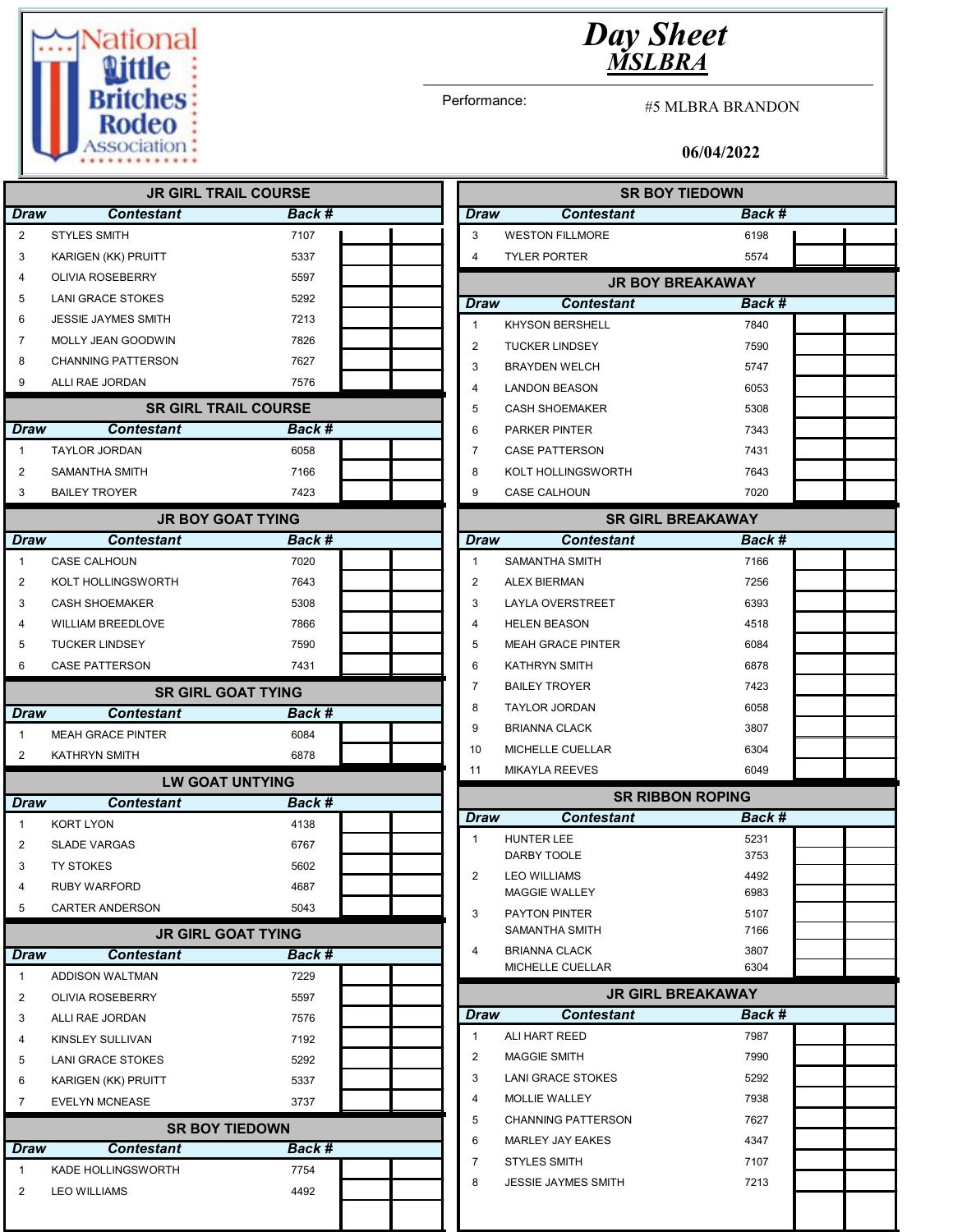

## Day Sheet MSLBRA

Performance:

#5 MLBRA BRANDON

## 06/04/2022

|                         |                            | <b>JR GIRL TRAIL COURSE</b> |                |                            | <b>SR BOY TIEDOWN</b>    |  |
|-------------------------|----------------------------|-----------------------------|----------------|----------------------------|--------------------------|--|
| <b>Draw</b>             | <b>Contestant</b>          | Back #                      | <b>Draw</b>    | <b>Contestant</b>          | Back #                   |  |
| 2                       | <b>STYLES SMITH</b>        | 7107                        | 3              | <b>WESTON FILLMORE</b>     | 6198                     |  |
| 3                       | KARIGEN (KK) PRUITT        | 5337                        | $\overline{4}$ | <b>TYLER PORTER</b>        | 5574                     |  |
| 4                       | <b>OLIVIA ROSEBERRY</b>    | 5597                        |                |                            | <b>JR BOY BREAKAWAY</b>  |  |
| 5                       | LANI GRACE STOKES          | 5292                        | Draw           | <b>Contestant</b>          | <b>Back #</b>            |  |
| 6                       | <b>JESSIE JAYMES SMITH</b> | 7213                        | $\mathbf{1}$   | <b>KHYSON BERSHELL</b>     | 7840                     |  |
| 7                       | MOLLY JEAN GOODWIN         | 7826                        | 2              | <b>TUCKER LINDSEY</b>      | 7590                     |  |
| 8                       | <b>CHANNING PATTERSON</b>  | 7627                        | 3              | <b>BRAYDEN WELCH</b>       | 5747                     |  |
| 9                       | ALLI RAE JORDAN            | 7576                        | 4              | <b>LANDON BEASON</b>       | 6053                     |  |
|                         |                            | <b>SR GIRL TRAIL COURSE</b> | 5              | <b>CASH SHOEMAKER</b>      | 5308                     |  |
| <b>Draw</b>             | <b>Contestant</b>          | <b>Back #</b>               | 6              | PARKER PINTER              | 7343                     |  |
| $\mathbf{1}$            | <b>TAYLOR JORDAN</b>       | 6058                        | 7              | <b>CASE PATTERSON</b>      | 7431                     |  |
| 2                       | SAMANTHA SMITH             | 7166                        | 8              | KOLT HOLLINGSWORTH         | 7643                     |  |
| 3                       | <b>BAILEY TROYER</b>       | 7423                        | 9              | CASE CALHOUN               | 7020                     |  |
|                         |                            |                             |                |                            |                          |  |
|                         |                            | <b>JR BOY GOAT TYING</b>    |                |                            | <b>SR GIRL BREAKAWAY</b> |  |
| <b>Draw</b>             | <b>Contestant</b>          | Back #                      | <b>Draw</b>    | <b>Contestant</b>          | Back #                   |  |
| $\mathbf{1}$            | <b>CASE CALHOUN</b>        | 7020                        | $\mathbf{1}$   | SAMANTHA SMITH             | 7166                     |  |
| 2                       | KOLT HOLLINGSWORTH         | 7643                        | 2              | <b>ALEX BIERMAN</b>        | 7256                     |  |
| 3                       | <b>CASH SHOEMAKER</b>      | 5308                        | 3              | LAYLA OVERSTREET           | 6393                     |  |
| 4                       | <b>WILLIAM BREEDLOVE</b>   | 7866                        | 4              | <b>HELEN BEASON</b>        | 4518                     |  |
| 5                       | <b>TUCKER LINDSEY</b>      | 7590                        | 5              | <b>MEAH GRACE PINTER</b>   | 6084                     |  |
| 6                       | <b>CASE PATTERSON</b>      | 7431                        | 6              | <b>KATHRYN SMITH</b>       | 6878                     |  |
|                         |                            | <b>SR GIRL GOAT TYING</b>   | 7              | <b>BAILEY TROYER</b>       | 7423                     |  |
| <b>Draw</b>             | <b>Contestant</b>          | Back #                      | 8              | <b>TAYLOR JORDAN</b>       | 6058                     |  |
| $\mathbf{1}$            | <b>MEAH GRACE PINTER</b>   | 6084                        | 9              | <b>BRIANNA CLACK</b>       | 3807                     |  |
| 2                       | <b>KATHRYN SMITH</b>       | 6878                        | 10             | MICHELLE CUELLAR           | 6304                     |  |
|                         |                            | <b>LW GOAT UNTYING</b>      | 11             | <b>MIKAYLA REEVES</b>      | 6049                     |  |
| <b>Draw</b>             | <b>Contestant</b>          |                             |                |                            | <b>SR RIBBON ROPING</b>  |  |
|                         |                            | Back #                      | Draw           | <b>Contestant</b>          | Back #                   |  |
| $\mathbf{1}$            | <b>KORT LYON</b>           | 4138                        | $\mathbf{1}$   | <b>HUNTER LEE</b>          | 5231                     |  |
| 2                       | <b>SLADE VARGAS</b>        | 6767                        |                | DARBY TOOLE                | 3753                     |  |
| 3                       | TY STOKES                  | 5602                        | $\overline{2}$ | <b>LEO WILLIAMS</b>        | 4492                     |  |
| 4                       | <b>RUBY WARFORD</b>        | 4687                        |                | <b>MAGGIE WALLEY</b>       | 6983                     |  |
| 5                       | CARTER ANDERSON            | 5043                        | 3              | PAYTON PINTER              | 5107                     |  |
|                         |                            | <b>JR GIRL GOAT TYING</b>   |                | SAMANTHA SMITH             | 7166                     |  |
| <b>Draw</b>             | <b>Contestant</b>          | Back #                      | 4              | <b>BRIANNA CLACK</b>       | 3807                     |  |
| 1                       | <b>ADDISON WALTMAN</b>     | 7229                        |                | MICHELLE CUELLAR           | 6304                     |  |
| $\overline{\mathbf{c}}$ | OLIVIA ROSEBERRY           | 5597                        |                |                            | <b>JR GIRL BREAKAWAY</b> |  |
| 3                       | ALLI RAE JORDAN            | 7576                        | <b>Draw</b>    | <b>Contestant</b>          | Back #                   |  |
| 4                       | KINSLEY SULLIVAN           | 7192                        | $\mathbf{1}$   | ALI HART REED              | 7987                     |  |
| 5                       | <b>LANI GRACE STOKES</b>   | 5292                        | $\overline{2}$ | <b>MAGGIE SMITH</b>        | 7990                     |  |
| 6                       | KARIGEN (KK) PRUITT        | 5337                        | 3              | <b>LANI GRACE STOKES</b>   | 5292                     |  |
| $\overline{7}$          | <b>EVELYN MCNEASE</b>      | 3737                        | $\overline{4}$ | <b>MOLLIE WALLEY</b>       | 7938                     |  |
|                         |                            | <b>SR BOY TIEDOWN</b>       | 5              | <b>CHANNING PATTERSON</b>  | 7627                     |  |
| <b>Draw</b>             | <b>Contestant</b>          | <b>Back#</b>                | 6              | MARLEY JAY EAKES           | 4347                     |  |
|                         |                            |                             | 7              | <b>STYLES SMITH</b>        | 7107                     |  |
| 1                       | KADE HOLLINGSWORTH         | 7754                        | 8              | <b>JESSIE JAYMES SMITH</b> | 7213                     |  |
| 2                       | <b>LEO WILLIAMS</b>        | 4492                        |                |                            |                          |  |
|                         |                            |                             |                |                            |                          |  |